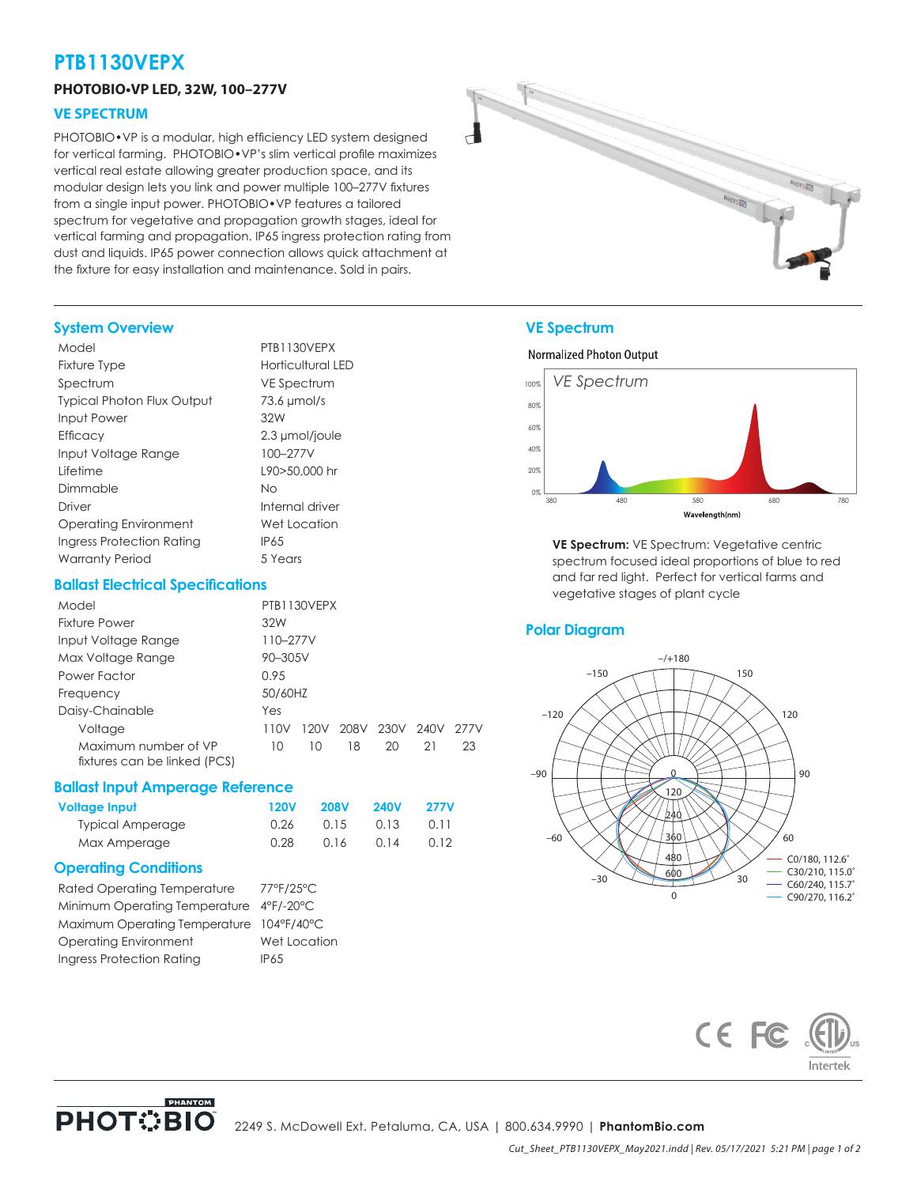# **PTB1130VEPX**

#### **PHOTOBIO•VP LED, 32W, 100–277V**

#### **VE SPECTRUM**

PHOTOBIO•VP is a modular, high efficiency LED system designed for vertical farming. PHOTOBIO•VP's slim vertical profile maximizes vertical real estate allowing greater production space, and its modular design lets you link and power multiple 100–277V fixtures from a single input power. PHOTOBIO•VP features a tailored spectrum for vegetative and propagation growth stages, ideal for vertical farming and propagation. IP65 ingress protection rating from dust and liquids. IP65 power connection allows quick attachment at the fixture for easy installation and maintenance. Sold in pairs.



#### **System Overview**

| Model                             | PTB1130VEPX        |
|-----------------------------------|--------------------|
| <b>Fixture Type</b>               | Horticultural LED  |
| Spectrum                          | <b>VE Spectrum</b> |
| <b>Typical Photon Flux Output</b> | $73.6 \mu$ mol/s   |
| Input Power                       | 32W                |
| Efficacy                          | 2.3 µmol/joule     |
| Input Voltage Range               | 100-277V           |
| Lifetime                          | L90>50.000 hr      |
| Dimmable                          | Νo                 |
| Driver                            | Internal driver    |
| Operating Environment             | Wet Location       |
| Ingress Protection Rating         | <b>IP65</b>        |
| <b>Warranty Period</b>            | 5 Years            |

#### **Ballast Electrical Specifications**

| Model                                                |          | PTB1130VEPX |      |      |      |      |
|------------------------------------------------------|----------|-------------|------|------|------|------|
| Fixture Power                                        | 32W      |             |      |      |      |      |
| Input Voltage Range                                  | 110-277V |             |      |      |      |      |
| Max Voltage Range                                    | 90-305V  |             |      |      |      |      |
| Power Factor                                         | 0.95     |             |      |      |      |      |
| Frequency                                            | 50/60HZ  |             |      |      |      |      |
| Daisy-Chainable                                      | Yes      |             |      |      |      |      |
| Voltage                                              | 110V     | 120V        | 208V | 230V | 240V | 277V |
| Maximum number of VP<br>fixtures can be linked (PCS) | 10       | 10          | 18   | 20   | 21   | 23   |

#### **Ballast Input Amperage Reference**

| Voltage Input           | 120V | <b>208V</b> | <b>240V</b> | <b>277V</b> |
|-------------------------|------|-------------|-------------|-------------|
| <b>Typical Amperage</b> | 0.26 | 0.15        | 0.13        | 0.11        |
| Max Amperage            | 0.28 | 0.16        | 0.14        | 0.12        |

#### **Operating Conditions**

| <b>Rated Operating Temperature</b>       | 77°F/25°C    |
|------------------------------------------|--------------|
| Minimum Operating Temperature 4°F/-20°C  |              |
| Maximum Operating Temperature 104°F/40°C |              |
| Operating Environment                    | Wet Location |
| Ingress Protection Rating                | <b>IP65</b>  |

PHANTOM

#### **VE Spectrum**

#### **Normalized Photon Output**



**VE Spectrum:** VE Spectrum: Vegetative centric spectrum focused ideal proportions of blue to red and far red light. Perfect for vertical farms and vegetative stages of plant cycle

#### **Polar Diagram**